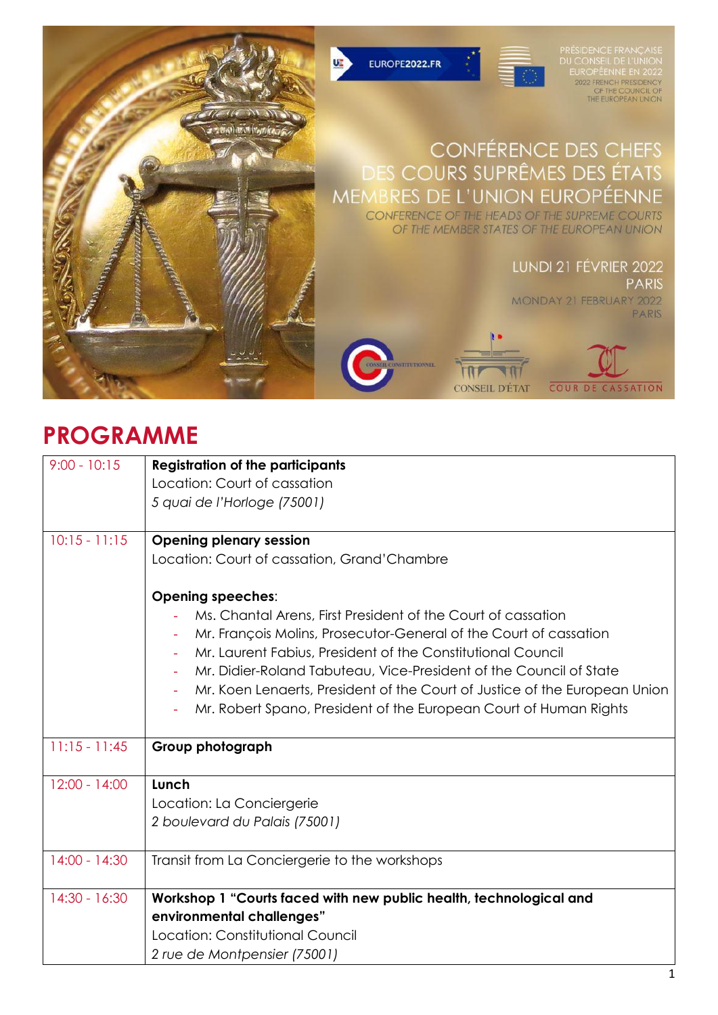

## **PROGRAMME**

| $9:00 - 10:15$  | <b>Registration of the participants</b>                                    |
|-----------------|----------------------------------------------------------------------------|
|                 | Location: Court of cassation                                               |
|                 | 5 quai de l'Horloge (75001)                                                |
|                 |                                                                            |
| $10:15 - 11:15$ | <b>Opening plenary session</b>                                             |
|                 | Location: Court of cassation, Grand'Chambre                                |
|                 | <b>Opening speeches:</b>                                                   |
|                 | Ms. Chantal Arens, First President of the Court of cassation               |
|                 | Mr. François Molins, Prosecutor-General of the Court of cassation          |
|                 | Mr. Laurent Fabius, President of the Constitutional Council<br>$\equiv$    |
|                 | Mr. Didier-Roland Tabuteau, Vice-President of the Council of State         |
|                 | Mr. Koen Lenaerts, President of the Court of Justice of the European Union |
|                 | Mr. Robert Spano, President of the European Court of Human Rights          |
|                 |                                                                            |
| $11:15 - 11:45$ | Group photograph                                                           |
|                 |                                                                            |
| $12:00 - 14:00$ | Lunch                                                                      |
|                 | Location: La Conciergerie                                                  |
|                 | 2 boulevard du Palais (75001)                                              |
| $14:00 - 14:30$ | Transit from La Conciergerie to the workshops                              |
|                 |                                                                            |
| $14:30 - 16:30$ | Workshop 1 "Courts faced with new public health, technological and         |
|                 | environmental challenges"                                                  |
|                 | Location: Constitutional Council                                           |
|                 | 2 rue de Montpensier (75001)                                               |